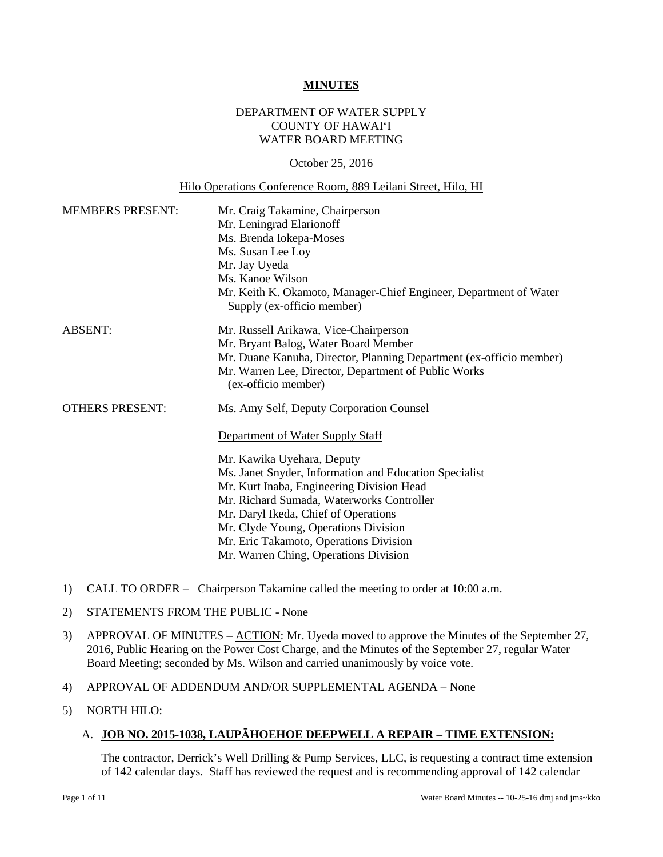#### **MINUTES**

## DEPARTMENT OF WATER SUPPLY COUNTY OF HAWAI'I WATER BOARD MEETING

#### October 25, 2016

#### Hilo Operations Conference Room, 889 Leilani Street, Hilo, HI

| <b>MEMBERS PRESENT:</b> | Mr. Craig Takamine, Chairperson<br>Mr. Leningrad Elarionoff<br>Ms. Brenda Iokepa-Moses<br>Ms. Susan Lee Loy<br>Mr. Jay Uyeda<br>Ms. Kanoe Wilson<br>Mr. Keith K. Okamoto, Manager-Chief Engineer, Department of Water<br>Supply (ex-officio member)                                                                                                                                                                               |
|-------------------------|-----------------------------------------------------------------------------------------------------------------------------------------------------------------------------------------------------------------------------------------------------------------------------------------------------------------------------------------------------------------------------------------------------------------------------------|
| <b>ABSENT:</b>          | Mr. Russell Arikawa, Vice-Chairperson<br>Mr. Bryant Balog, Water Board Member<br>Mr. Duane Kanuha, Director, Planning Department (ex-officio member)<br>Mr. Warren Lee, Director, Department of Public Works<br>(ex-officio member)                                                                                                                                                                                               |
| <b>OTHERS PRESENT:</b>  | Ms. Amy Self, Deputy Corporation Counsel<br>Department of Water Supply Staff<br>Mr. Kawika Uyehara, Deputy<br>Ms. Janet Snyder, Information and Education Specialist<br>Mr. Kurt Inaba, Engineering Division Head<br>Mr. Richard Sumada, Waterworks Controller<br>Mr. Daryl Ikeda, Chief of Operations<br>Mr. Clyde Young, Operations Division<br>Mr. Eric Takamoto, Operations Division<br>Mr. Warren Ching, Operations Division |

- 1) CALL TO ORDER Chairperson Takamine called the meeting to order at 10:00 a.m.
- 2) STATEMENTS FROM THE PUBLIC None
- 3) APPROVAL OF MINUTES ACTION: Mr. Uyeda moved to approve the Minutes of the September 27, 2016, Public Hearing on the Power Cost Charge, and the Minutes of the September 27, regular Water Board Meeting; seconded by Ms. Wilson and carried unanimously by voice vote.
- 4) APPROVAL OF ADDENDUM AND/OR SUPPLEMENTAL AGENDA None
- 5) NORTH HILO:

## A. **JOB NO. 2015-1038, LAUPĀHOEHOE DEEPWELL A REPAIR – TIME EXTENSION:**

The contractor, Derrick's Well Drilling & Pump Services, LLC, is requesting a contract time extension of 142 calendar days. Staff has reviewed the request and is recommending approval of 142 calendar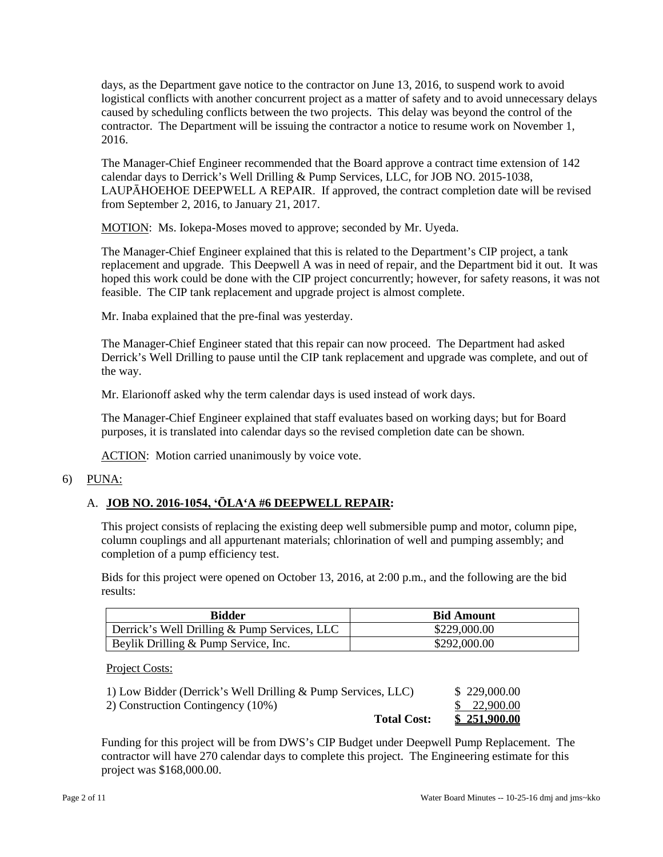days, as the Department gave notice to the contractor on June 13, 2016, to suspend work to avoid logistical conflicts with another concurrent project as a matter of safety and to avoid unnecessary delays caused by scheduling conflicts between the two projects. This delay was beyond the control of the contractor. The Department will be issuing the contractor a notice to resume work on November 1, 2016.

 The Manager-Chief Engineer recommended that the Board approve a contract time extension of 142 LAUPĀHOEHOE DEEPWELL A REPAIR. If approved, the contract completion date will be revised calendar days to Derrick's Well Drilling & Pump Services, LLC, for JOB NO. 2015-1038, from September 2, 2016, to January 21, 2017.

MOTION: Ms. Iokepa-Moses moved to approve; seconded by Mr. Uyeda.

 feasible. The CIP tank replacement and upgrade project is almost complete. The Manager-Chief Engineer explained that this is related to the Department's CIP project, a tank replacement and upgrade. This Deepwell A was in need of repair, and the Department bid it out. It was hoped this work could be done with the CIP project concurrently; however, for safety reasons, it was not

Mr. Inaba explained that the pre-final was yesterday.

 The Manager-Chief Engineer stated that this repair can now proceed. The Department had asked Derrick's Well Drilling to pause until the CIP tank replacement and upgrade was complete, and out of the way.

Mr. Elarionoff asked why the term calendar days is used instead of work days.

 The Manager-Chief Engineer explained that staff evaluates based on working days; but for Board purposes, it is translated into calendar days so the revised completion date can be shown.

ACTION: Motion carried unanimously by voice vote.

# 6) PUNA:

# A. **JOB NO. 2016-1054, 'ŌLA'A #6 DEEPWELL REPAIR:**

 This project consists of replacing the existing deep well submersible pump and motor, column pipe, column couplings and all appurtenant materials; chlorination of well and pumping assembly; and completion of a pump efficiency test.

Bids for this project were opened on October 13, 2016, at 2:00 p.m., and the following are the bid results:

| <b>Bidder</b>                                | <b>Bid Amount</b> |
|----------------------------------------------|-------------------|
| Derrick's Well Drilling & Pump Services, LLC | \$229,000.00      |
| $\vert$ Beylik Drilling & Pump Service, Inc. | \$292,000.00      |

Project Costs:

| 1) Low Bidder (Derrick's Well Drilling & Pump Services, LLC) | \$229,000.00 |
|--------------------------------------------------------------|--------------|
| 2) Construction Contingency (10%)                            | \$ 22,900.00 |
| <b>Total Cost:</b>                                           | \$251,900.00 |

 contractor will have 270 calendar days to complete this project. The Engineering estimate for this Funding for this project will be from DWS's CIP Budget under Deepwell Pump Replacement. The project was \$168,000.00.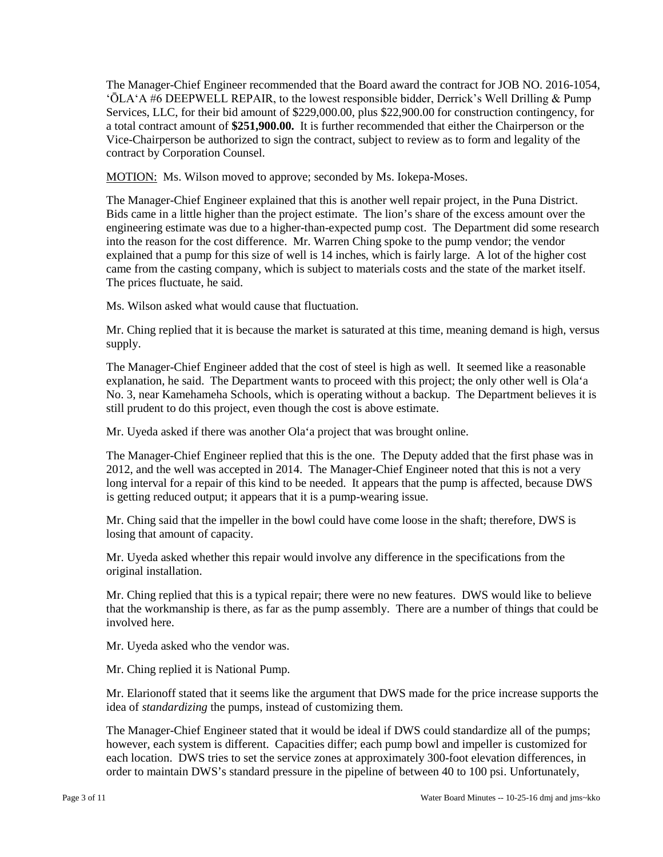a total contract amount of **\$251,900.00.** It is further recommended that either the Chairperson or the Vice-Chairperson be authorized to sign the contract, subject to review as to form and legality of the The Manager-Chief Engineer recommended that the Board award the contract for JOB NO. 2016-1054, ʻŌLAʻA #6 DEEPWELL REPAIR, to the lowest responsible bidder, Derrick's Well Drilling & Pump Services, LLC, for their bid amount of \$229,000.00, plus \$22,900.00 for construction contingency, for contract by Corporation Counsel.

MOTION: Ms. Wilson moved to approve; seconded by Ms. Iokepa-Moses.

 Bids came in a little higher than the project estimate. The lion's share of the excess amount over the into the reason for the cost difference. Mr. Warren Ching spoke to the pump vendor; the vendor explained that a pump for this size of well is 14 inches, which is fairly large. A lot of the higher cost came from the casting company, which is subject to materials costs and the state of the market itself. The Manager-Chief Engineer explained that this is another well repair project, in the Puna District. engineering estimate was due to a higher-than-expected pump cost. The Department did some research The prices fluctuate, he said.

Ms. Wilson asked what would cause that fluctuation.

 Mr. Ching replied that it is because the market is saturated at this time, meaning demand is high, versus supply.

 The Manager-Chief Engineer added that the cost of steel is high as well. It seemed like a reasonable explanation, he said. The Department wants to proceed with this project; the only other well is Ola'a No. 3, near Kamehameha Schools, which is operating without a backup. The Department believes it is still prudent to do this project, even though the cost is above estimate.

Mr. Uyeda asked if there was another Ola'a project that was brought online.

 The Manager-Chief Engineer replied that this is the one. The Deputy added that the first phase was in 2012, and the well was accepted in 2014. The Manager-Chief Engineer noted that this is not a very long interval for a repair of this kind to be needed. It appears that the pump is affected, because DWS is getting reduced output; it appears that it is a pump-wearing issue.

 Mr. Ching said that the impeller in the bowl could have come loose in the shaft; therefore, DWS is losing that amount of capacity.

Mr. Uyeda asked whether this repair would involve any difference in the specifications from the original installation.

 that the workmanship is there, as far as the pump assembly. There are a number of things that could be Mr. Ching replied that this is a typical repair; there were no new features. DWS would like to believe involved here.

Mr. Uyeda asked who the vendor was.

Mr. Ching replied it is National Pump.

 Mr. Elarionoff stated that it seems like the argument that DWS made for the price increase supports the idea of *standardizing* the pumps, instead of customizing them.

 The Manager-Chief Engineer stated that it would be ideal if DWS could standardize all of the pumps; each location. DWS tries to set the service zones at approximately 300-foot elevation differences, in however, each system is different. Capacities differ; each pump bowl and impeller is customized for order to maintain DWS's standard pressure in the pipeline of between 40 to 100 psi. Unfortunately,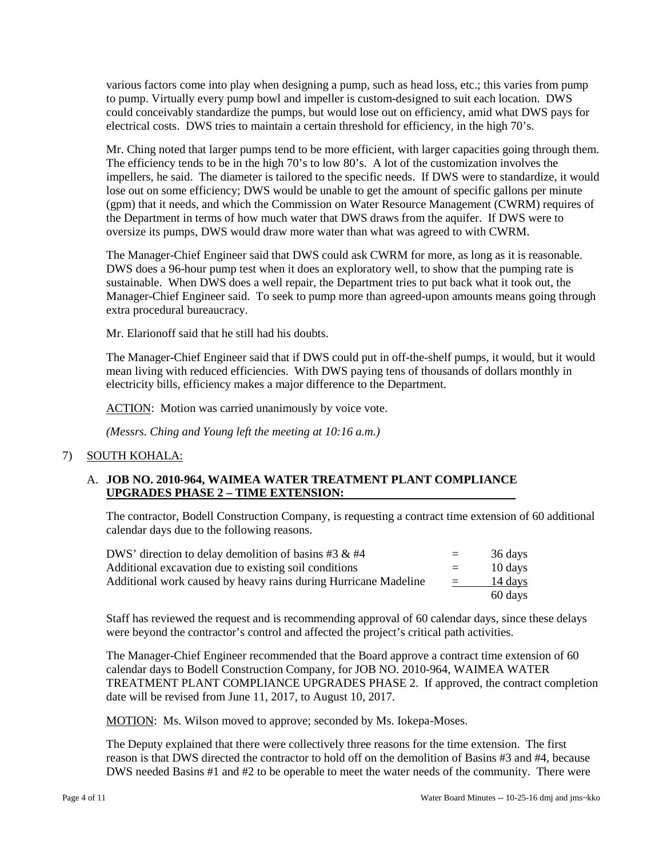various factors come into play when designing a pump, such as head loss, etc.; this varies from pump electrical costs. DWS tries to maintain a certain threshold for efficiency, in the high 70's. to pump. Virtually every pump bowl and impeller is custom-designed to suit each location. DWS could conceivably standardize the pumps, but would lose out on efficiency, amid what DWS pays for

 impellers, he said. The diameter is tailored to the specific needs. If DWS were to standardize, it would lose out on some efficiency; DWS would be unable to get the amount of specific gallons per minute (gpm) that it needs, and which the Commission on Water Resource Management (CWRM) requires of the Department in terms of how much water that DWS draws from the aquifer. If DWS were to oversize its pumps, DWS would draw more water than what was agreed to with CWRM. Mr. Ching noted that larger pumps tend to be more efficient, with larger capacities going through them. The efficiency tends to be in the high 70's to low 80's. A lot of the customization involves the

 The Manager-Chief Engineer said that DWS could ask CWRM for more, as long as it is reasonable. Manager-Chief Engineer said. To seek to pump more than agreed-upon amounts means going through DWS does a 96-hour pump test when it does an exploratory well, to show that the pumping rate is sustainable. When DWS does a well repair, the Department tries to put back what it took out, the extra procedural bureaucracy.

Mr. Elarionoff said that he still had his doubts.

 mean living with reduced efficiencies. With DWS paying tens of thousands of dollars monthly in The Manager-Chief Engineer said that if DWS could put in off-the-shelf pumps, it would, but it would electricity bills, efficiency makes a major difference to the Department.

ACTION: Motion was carried unanimously by voice vote.

*(Messrs. Ching and Young left the meeting at 10:16 a.m.)* 

## 7) SOUTH KOHALA:

#### A. **JOB NO. 2010-964, WAIMEA WATER TREATMENT PLANT COMPLIANCE UPGRADES PHASE 2 – TIME EXTENSION:**  $\overline{a}$

 calendar days due to the following reasons. The contractor, Bodell Construction Company, is requesting a contract time extension of 60 additional

| DWS' direction to delay demolition of basins #3 $\&$ #4         | $=$ | 36 days |
|-----------------------------------------------------------------|-----|---------|
| Additional excavation due to existing soil conditions           | $=$ | 10 days |
| Additional work caused by heavy rains during Hurricane Madeline |     | 14 days |
|                                                                 |     | 60 days |

Staff has reviewed the request and is recommending approval of 60 calendar days, since these delays were beyond the contractor's control and affected the project's critical path activities.

 The Manager-Chief Engineer recommended that the Board approve a contract time extension of 60 calendar days to Bodell Construction Company, for JOB NO. 2010-964, WAIMEA WATER TREATMENT PLANT COMPLIANCE UPGRADES PHASE 2. If approved, the contract completion date will be revised from June 11, 2017, to August 10, 2017.

MOTION: Ms. Wilson moved to approve; seconded by Ms. Iokepa-Moses.

 The Deputy explained that there were collectively three reasons for the time extension. The first reason is that DWS directed the contractor to hold off on the demolition of Basins #3 and #4, because DWS needed Basins #1 and #2 to be operable to meet the water needs of the community. There were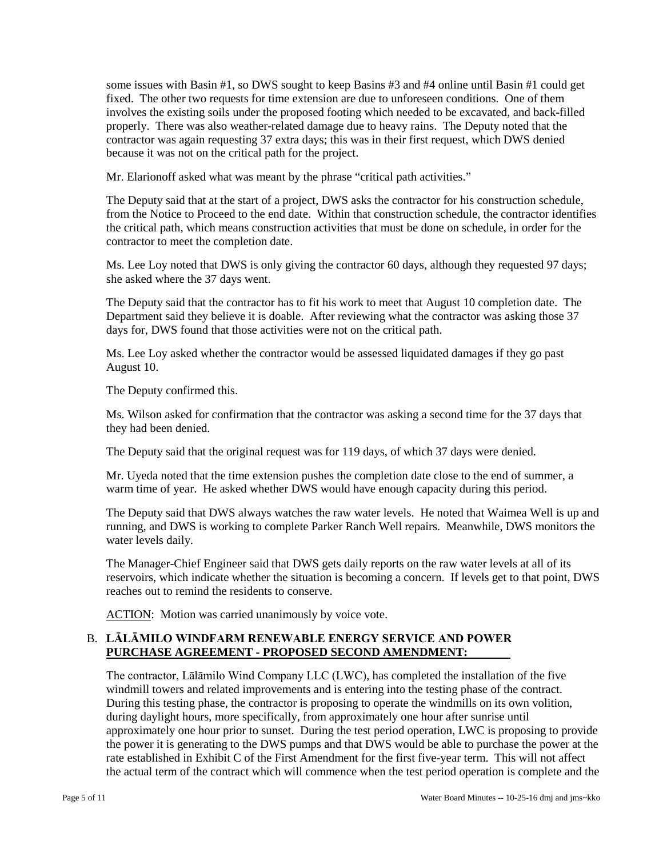fixed. The other two requests for time extension are due to unforeseen conditions. One of them properly. There was also weather-related damage due to heavy rains. The Deputy noted that the because it was not on the critical path for the project. some issues with Basin #1, so DWS sought to keep Basins #3 and #4 online until Basin #1 could get involves the existing soils under the proposed footing which needed to be excavated, and back-filled contractor was again requesting 37 extra days; this was in their first request, which DWS denied

Mr. Elarionoff asked what was meant by the phrase "critical path activities."

 The Deputy said that at the start of a project, DWS asks the contractor for his construction schedule, the critical path, which means construction activities that must be done on schedule, in order for the from the Notice to Proceed to the end date. Within that construction schedule, the contractor identifies contractor to meet the completion date.

Ms. Lee Loy noted that DWS is only giving the contractor 60 days, although they requested 97 days; she asked where the 37 days went.

The Deputy said that the contractor has to fit his work to meet that August 10 completion date. The Department said they believe it is doable. After reviewing what the contractor was asking those 37 days for, DWS found that those activities were not on the critical path.

Ms. Lee Loy asked whether the contractor would be assessed liquidated damages if they go past August 10.

The Deputy confirmed this.

Ms. Wilson asked for confirmation that the contractor was asking a second time for the 37 days that they had been denied.

The Deputy said that the original request was for 119 days, of which 37 days were denied.

 Mr. Uyeda noted that the time extension pushes the completion date close to the end of summer, a warm time of year. He asked whether DWS would have enough capacity during this period.

 The Deputy said that DWS always watches the raw water levels. He noted that Waimea Well is up and running, and DWS is working to complete Parker Ranch Well repairs. Meanwhile, DWS monitors the water levels daily.

 The Manager-Chief Engineer said that DWS gets daily reports on the raw water levels at all of its reservoirs, which indicate whether the situation is becoming a concern. If levels get to that point, DWS reaches out to remind the residents to conserve.

ACTION: Motion was carried unanimously by voice vote.

## B. **LĀLĀMILO WINDFARM RENEWABLE ENERGY SERVICE AND POWER PURCHASE AGREEMENT - PROPOSED SECOND AMENDMENT:**

windmill towers and related improvements and is entering into the testing phase of the contract. the power it is generating to the DWS pumps and that DWS would be able to purchase the power at the rate established in Exhibit C of the First Amendment for the first five-year term. This will not affect The contractor, Lālāmilo Wind Company LLC (LWC), has completed the installation of the five During this testing phase, the contractor is proposing to operate the windmills on its own volition, during daylight hours, more specifically, from approximately one hour after sunrise until approximately one hour prior to sunset. During the test period operation, LWC is proposing to provide the actual term of the contract which will commence when the test period operation is complete and the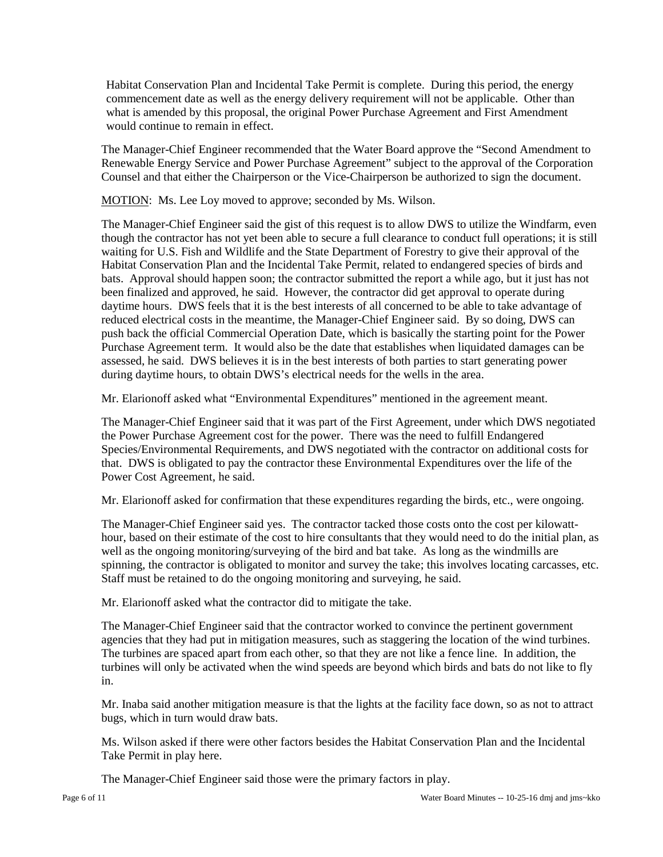Habitat Conservation Plan and Incidental Take Permit is complete. During this period, the energy commencement date as well as the energy delivery requirement will not be applicable. Other than what is amended by this proposal, the original Power Purchase Agreement and First Amendment would continue to remain in effect.

 The Manager-Chief Engineer recommended that the Water Board approve the "Second Amendment to Counsel and that either the Chairperson or the Vice-Chairperson be authorized to sign the document. Renewable Energy Service and Power Purchase Agreement" subject to the approval of the Corporation

MOTION: Ms. Lee Loy moved to approve; seconded by Ms. Wilson.

 though the contractor has not yet been able to secure a full clearance to conduct full operations; it is still bats. Approval should happen soon; the contractor submitted the report a while ago, but it just has not been finalized and approved, he said. However, the contractor did get approval to operate during The Manager-Chief Engineer said the gist of this request is to allow DWS to utilize the Windfarm, even waiting for U.S. Fish and Wildlife and the State Department of Forestry to give their approval of the Habitat Conservation Plan and the Incidental Take Permit, related to endangered species of birds and daytime hours. DWS feels that it is the best interests of all concerned to be able to take advantage of reduced electrical costs in the meantime, the Manager-Chief Engineer said. By so doing, DWS can push back the official Commercial Operation Date, which is basically the starting point for the Power Purchase Agreement term. It would also be the date that establishes when liquidated damages can be assessed, he said. DWS believes it is in the best interests of both parties to start generating power during daytime hours, to obtain DWS's electrical needs for the wells in the area.

Mr. Elarionoff asked what "Environmental Expenditures" mentioned in the agreement meant.

 the Power Purchase Agreement cost for the power. There was the need to fulfill Endangered Species/Environmental Requirements, and DWS negotiated with the contractor on additional costs for The Manager-Chief Engineer said that it was part of the First Agreement, under which DWS negotiated that. DWS is obligated to pay the contractor these Environmental Expenditures over the life of the Power Cost Agreement, he said.

Mr. Elarionoff asked for confirmation that these expenditures regarding the birds, etc., were ongoing.

 The Manager-Chief Engineer said yes. The contractor tacked those costs onto the cost per kilowatt- hour, based on their estimate of the cost to hire consultants that they would need to do the initial plan, as well as the ongoing monitoring/surveying of the bird and bat take. As long as the windmills are spinning, the contractor is obligated to monitor and survey the take; this involves locating carcasses, etc. Staff must be retained to do the ongoing monitoring and surveying, he said.

Mr. Elarionoff asked what the contractor did to mitigate the take.

 The Manager-Chief Engineer said that the contractor worked to convince the pertinent government agencies that they had put in mitigation measures, such as staggering the location of the wind turbines. The turbines are spaced apart from each other, so that they are not like a fence line. In addition, the turbines will only be activated when the wind speeds are beyond which birds and bats do not like to fly in.

 Mr. Inaba said another mitigation measure is that the lights at the facility face down, so as not to attract bugs, which in turn would draw bats.

Ms. Wilson asked if there were other factors besides the Habitat Conservation Plan and the Incidental Take Permit in play here.

The Manager-Chief Engineer said those were the primary factors in play.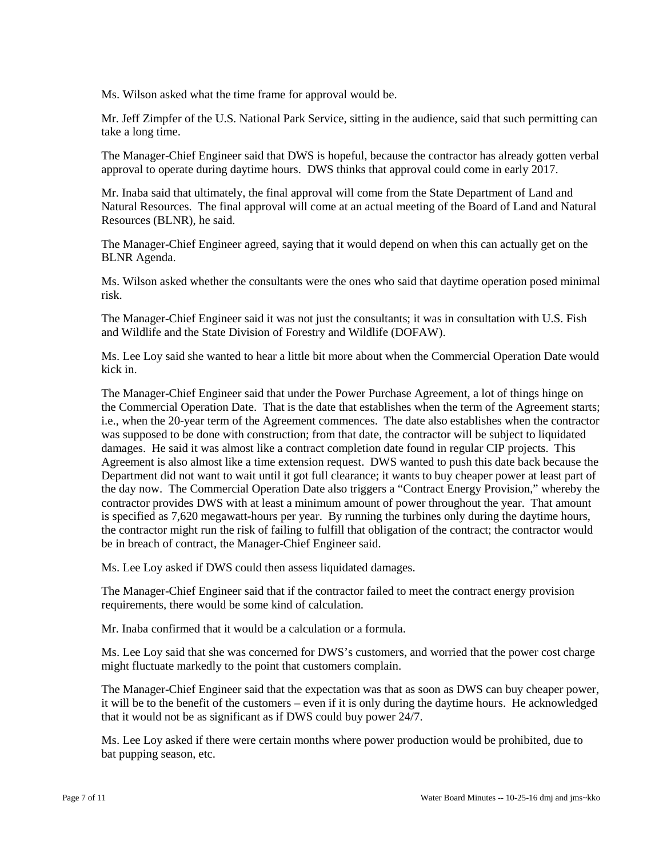Ms. Wilson asked what the time frame for approval would be.

Mr. Jeff Zimpfer of the U.S. National Park Service, sitting in the audience, said that such permitting can take a long time.

 The Manager-Chief Engineer said that DWS is hopeful, because the contractor has already gotten verbal approval to operate during daytime hours. DWS thinks that approval could come in early 2017.

 Natural Resources. The final approval will come at an actual meeting of the Board of Land and Natural Mr. Inaba said that ultimately, the final approval will come from the State Department of Land and Resources (BLNR), he said.

The Manager-Chief Engineer agreed, saying that it would depend on when this can actually get on the BLNR Agenda.

Ms. Wilson asked whether the consultants were the ones who said that daytime operation posed minimal risk.

The Manager-Chief Engineer said it was not just the consultants; it was in consultation with U.S. Fish and Wildlife and the State Division of Forestry and Wildlife (DOFAW).

Ms. Lee Loy said she wanted to hear a little bit more about when the Commercial Operation Date would kick in.

 the Commercial Operation Date. That is the date that establishes when the term of the Agreement starts; i.e., when the 20-year term of the Agreement commences. The date also establishes when the contractor was supposed to be done with construction; from that date, the contractor will be subject to liquidated damages. He said it was almost like a contract completion date found in regular CIP projects. This contractor provides DWS with at least a minimum amount of power throughout the year. That amount the contractor might run the risk of failing to fulfill that obligation of the contract; the contractor would The Manager-Chief Engineer said that under the Power Purchase Agreement, a lot of things hinge on Agreement is also almost like a time extension request. DWS wanted to push this date back because the Department did not want to wait until it got full clearance; it wants to buy cheaper power at least part of the day now. The Commercial Operation Date also triggers a "Contract Energy Provision," whereby the is specified as 7,620 megawatt-hours per year. By running the turbines only during the daytime hours, be in breach of contract, the Manager-Chief Engineer said.

Ms. Lee Loy asked if DWS could then assess liquidated damages.

 The Manager-Chief Engineer said that if the contractor failed to meet the contract energy provision requirements, there would be some kind of calculation.

Mr. Inaba confirmed that it would be a calculation or a formula.

 Ms. Lee Loy said that she was concerned for DWS's customers, and worried that the power cost charge might fluctuate markedly to the point that customers complain.

 that it would not be as significant as if DWS could buy power 24/7. The Manager-Chief Engineer said that the expectation was that as soon as DWS can buy cheaper power, it will be to the benefit of the customers – even if it is only during the daytime hours. He acknowledged

Ms. Lee Loy asked if there were certain months where power production would be prohibited, due to bat pupping season, etc.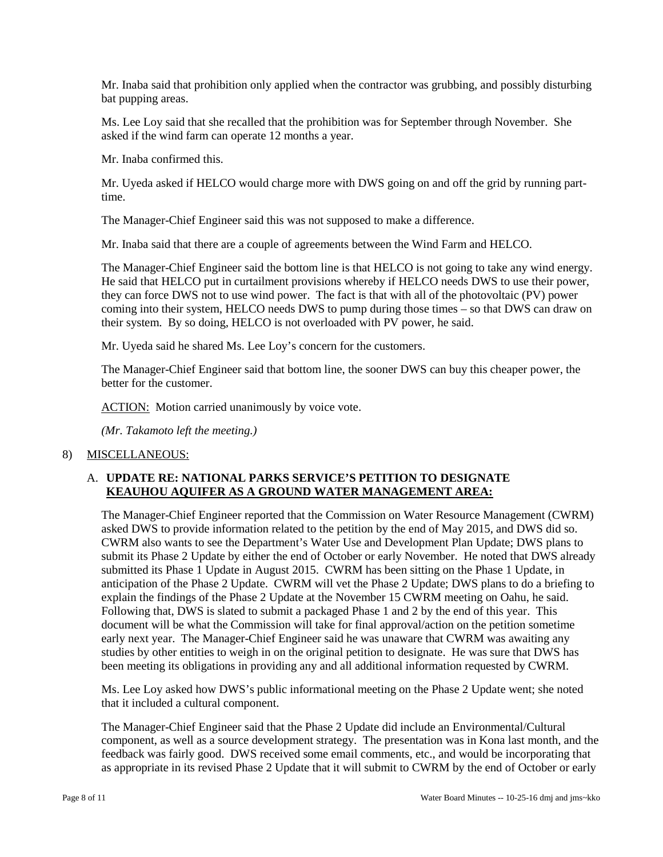Mr. Inaba said that prohibition only applied when the contractor was grubbing, and possibly disturbing bat pupping areas.

Ms. Lee Loy said that she recalled that the prohibition was for September through November. She asked if the wind farm can operate 12 months a year.

Mr. Inaba confirmed this.

Mr. Uyeda asked if HELCO would charge more with DWS going on and off the grid by running parttime.

The Manager-Chief Engineer said this was not supposed to make a difference.

Mr. Inaba said that there are a couple of agreements between the Wind Farm and HELCO.

 The Manager-Chief Engineer said the bottom line is that HELCO is not going to take any wind energy. they can force DWS not to use wind power. The fact is that with all of the photovoltaic (PV) power coming into their system, HELCO needs DWS to pump during those times – so that DWS can draw on He said that HELCO put in curtailment provisions whereby if HELCO needs DWS to use their power, their system. By so doing, HELCO is not overloaded with PV power, he said.

Mr. Uyeda said he shared Ms. Lee Loy's concern for the customers.

The Manager-Chief Engineer said that bottom line, the sooner DWS can buy this cheaper power, the better for the customer.

ACTION: Motion carried unanimously by voice vote.

*(Mr. Takamoto left the meeting.)* 

#### 8) MISCELLANEOUS:

## A. **UPDATE RE: NATIONAL PARKS SERVICE'S PETITION TO DESIGNATE KEAUHOU AQUIFER AS A GROUND WATER MANAGEMENT AREA:**

 asked DWS to provide information related to the petition by the end of May 2015, and DWS did so. anticipation of the Phase 2 Update. CWRM will vet the Phase 2 Update; DWS plans to do a briefing to document will be what the Commission will take for final approval/action on the petition sometime early next year. The Manager-Chief Engineer said he was unaware that CWRM was awaiting any studies by other entities to weigh in on the original petition to designate. He was sure that DWS has The Manager-Chief Engineer reported that the Commission on Water Resource Management (CWRM) CWRM also wants to see the Department's Water Use and Development Plan Update; DWS plans to submit its Phase 2 Update by either the end of October or early November. He noted that DWS already submitted its Phase 1 Update in August 2015. CWRM has been sitting on the Phase 1 Update, in explain the findings of the Phase 2 Update at the November 15 CWRM meeting on Oahu, he said. Following that, DWS is slated to submit a packaged Phase 1 and 2 by the end of this year. This been meeting its obligations in providing any and all additional information requested by CWRM.

Ms. Lee Loy asked how DWS's public informational meeting on the Phase 2 Update went; she noted that it included a cultural component.

 The Manager-Chief Engineer said that the Phase 2 Update did include an Environmental/Cultural component, as well as a source development strategy. The presentation was in Kona last month, and the feedback was fairly good. DWS received some email comments, etc., and would be incorporating that as appropriate in its revised Phase 2 Update that it will submit to CWRM by the end of October or early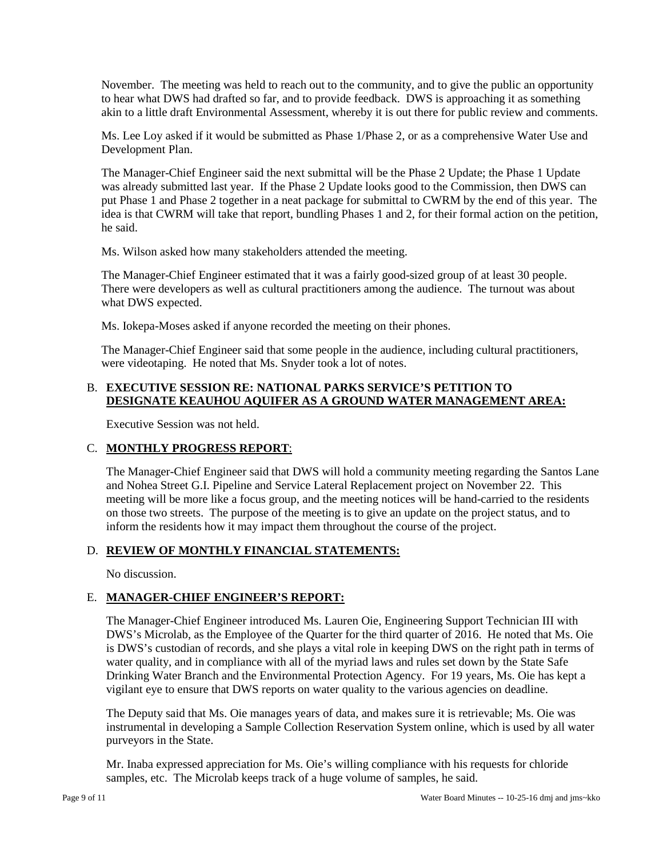November. The meeting was held to reach out to the community, and to give the public an opportunity to hear what DWS had drafted so far, and to provide feedback. DWS is approaching it as something akin to a little draft Environmental Assessment, whereby it is out there for public review and comments.

Ms. Lee Loy asked if it would be submitted as Phase 1/Phase 2, or as a comprehensive Water Use and Development Plan.

 put Phase 1 and Phase 2 together in a neat package for submittal to CWRM by the end of this year. The idea is that CWRM will take that report, bundling Phases 1 and 2, for their formal action on the petition, The Manager-Chief Engineer said the next submittal will be the Phase 2 Update; the Phase 1 Update was already submitted last year. If the Phase 2 Update looks good to the Commission, then DWS can he said.

Ms. Wilson asked how many stakeholders attended the meeting.

 There were developers as well as cultural practitioners among the audience. The turnout was about The Manager-Chief Engineer estimated that it was a fairly good-sized group of at least 30 people. what DWS expected.

Ms. Iokepa-Moses asked if anyone recorded the meeting on their phones.

The Manager-Chief Engineer said that some people in the audience, including cultural practitioners, were videotaping. He noted that Ms. Snyder took a lot of notes.

# B. **EXECUTIVE SESSION RE: NATIONAL PARKS SERVICE'S PETITION TO DESIGNATE KEAUHOU AQUIFER AS A GROUND WATER MANAGEMENT AREA:**

Executive Session was not held.

## C. **MONTHLY PROGRESS REPORT**:

 and Nohea Street G.I. Pipeline and Service Lateral Replacement project on November 22. This on those two streets. The purpose of the meeting is to give an update on the project status, and to inform the residents how it may impact them throughout the course of the project. The Manager-Chief Engineer said that DWS will hold a community meeting regarding the Santos Lane meeting will be more like a focus group, and the meeting notices will be hand-carried to the residents

# D. **REVIEW OF MONTHLY FINANCIAL STATEMENTS:**

No discussion.

# E. **MANAGER-CHIEF ENGINEER'S REPORT:**

 DWS's Microlab, as the Employee of the Quarter for the third quarter of 2016. He noted that Ms. Oie vigilant eye to ensure that DWS reports on water quality to the various agencies on deadline. The Manager-Chief Engineer introduced Ms. Lauren Oie, Engineering Support Technician III with is DWS's custodian of records, and she plays a vital role in keeping DWS on the right path in terms of water quality, and in compliance with all of the myriad laws and rules set down by the State Safe Drinking Water Branch and the Environmental Protection Agency. For 19 years, Ms. Oie has kept a

The Deputy said that Ms. Oie manages years of data, and makes sure it is retrievable; Ms. Oie was instrumental in developing a Sample Collection Reservation System online, which is used by all water purveyors in the State.

 samples, etc. The Microlab keeps track of a huge volume of samples, he said. Mr. Inaba expressed appreciation for Ms. Oie's willing compliance with his requests for chloride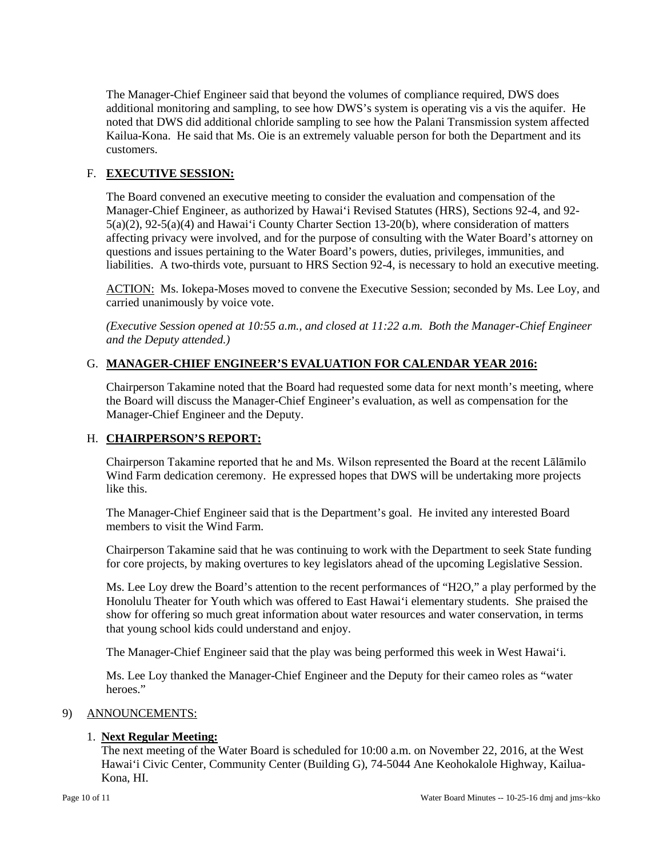The Manager-Chief Engineer said that beyond the volumes of compliance required, DWS does additional monitoring and sampling, to see how DWS's system is operating vis a vis the aquifer. He noted that DWS did additional chloride sampling to see how the Palani Transmission system affected Kailua-Kona. He said that Ms. Oie is an extremely valuable person for both the Department and its customers.

# F. **EXECUTIVE SESSION:**

 The Board convened an executive meeting to consider the evaluation and compensation of the affecting privacy were involved, and for the purpose of consulting with the Water Board's attorney on Manager-Chief Engineer, as authorized by Hawai'i Revised Statutes (HRS), Sections 92-4, and 92 5(a)(2), 92-5(a)(4) and Hawai'i County Charter Section 13-20(b), where consideration of matters questions and issues pertaining to the Water Board's powers, duties, privileges, immunities, and liabilities. A two-thirds vote, pursuant to HRS Section 92-4, is necessary to hold an executive meeting.

ACTION: Ms. Iokepa-Moses moved to convene the Executive Session; seconded by Ms. Lee Loy, and carried unanimously by voice vote.

*(Executive Session opened at 10:55 a.m., and closed at 11:22 a.m. Both the Manager-Chief Engineer and the Deputy attended.)* 

## G. **MANAGER-CHIEF ENGINEER'S EVALUATION FOR CALENDAR YEAR 2016:**

 the Board will discuss the Manager-Chief Engineer's evaluation, as well as compensation for the Chairperson Takamine noted that the Board had requested some data for next month's meeting, where Manager-Chief Engineer and the Deputy.

## H. **CHAIRPERSON'S REPORT:**

Chairperson Takamine reported that he and Ms. Wilson represented the Board at the recent Lālāmilo Wind Farm dedication ceremony. He expressed hopes that DWS will be undertaking more projects like this.

The Manager-Chief Engineer said that is the Department's goal. He invited any interested Board members to visit the Wind Farm.

 Chairperson Takamine said that he was continuing to work with the Department to seek State funding for core projects, by making overtures to key legislators ahead of the upcoming Legislative Session.

 Ms. Lee Loy drew the Board's attention to the recent performances of "H2O," a play performed by the Honolulu Theater for Youth which was offered to East Hawai'i elementary students. She praised the show for offering so much great information about water resources and water conservation, in terms that young school kids could understand and enjoy.

The Manager-Chief Engineer said that the play was being performed this week in West Hawai'i.

Ms. Lee Loy thanked the Manager-Chief Engineer and the Deputy for their cameo roles as "water heroes."

## 9) ANNOUNCEMENTS:

## 1. **Next Regular Meeting:**

 The next meeting of the Water Board is scheduled for 10:00 a.m. on November 22, 2016, at the West Hawai'i Civic Center, Community Center (Building G), 74-5044 Ane Keohokalole Highway, Kailua-Kona, HI.